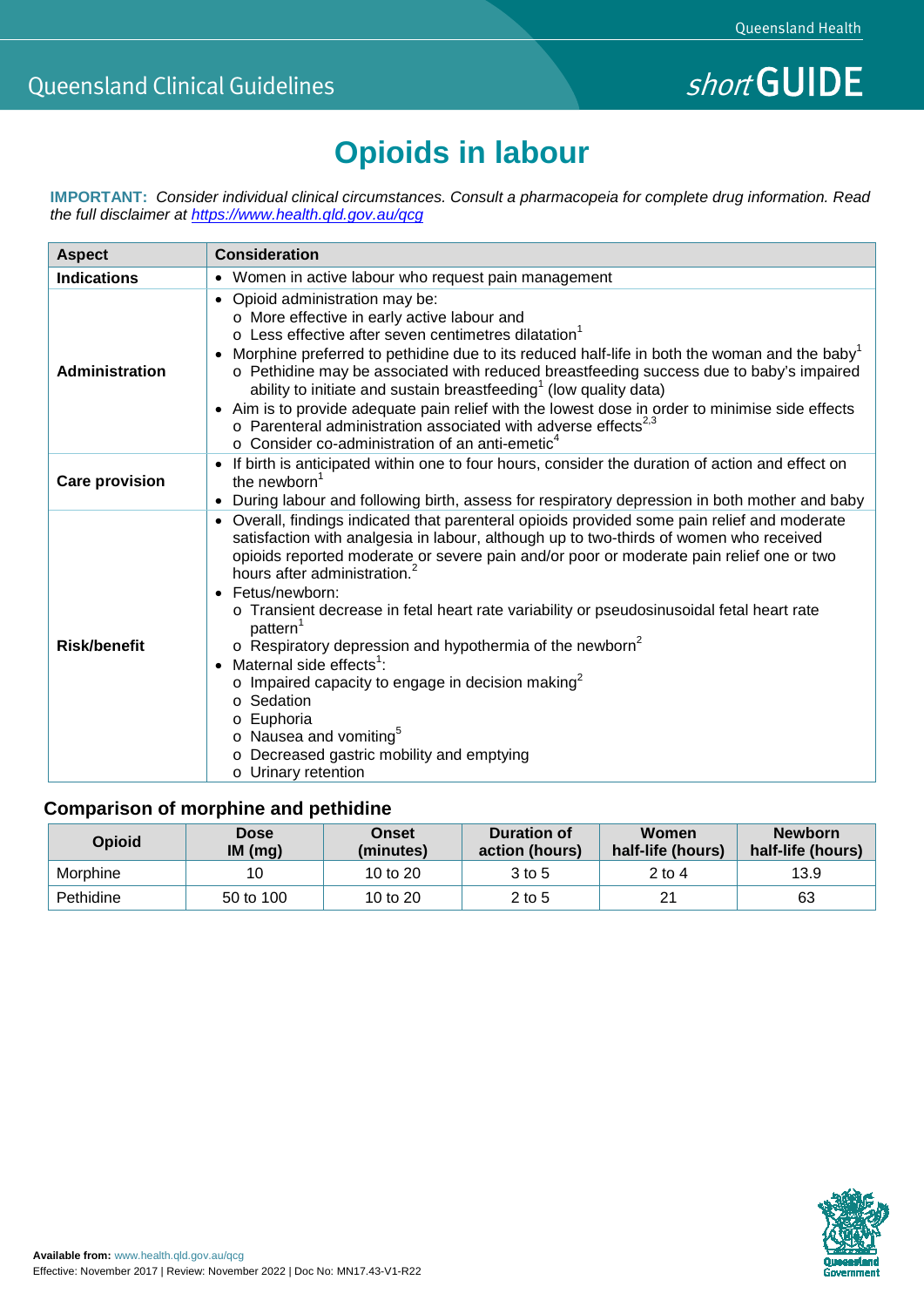# **Opioids in labour**

**IMPORTANT:** *Consider individual clinical circumstances. Consult a pharmacopeia for complete drug information. Read the full disclaimer at<https://www.health.qld.gov.au/qcg>*

| <b>Aspect</b>         | <b>Consideration</b>                                                                                                                                                                                                                                                                                                                                                                                                                                                                                                                                                                                                                                                                                                                                                                                                   |  |  |  |  |
|-----------------------|------------------------------------------------------------------------------------------------------------------------------------------------------------------------------------------------------------------------------------------------------------------------------------------------------------------------------------------------------------------------------------------------------------------------------------------------------------------------------------------------------------------------------------------------------------------------------------------------------------------------------------------------------------------------------------------------------------------------------------------------------------------------------------------------------------------------|--|--|--|--|
| <b>Indications</b>    | • Women in active labour who request pain management                                                                                                                                                                                                                                                                                                                                                                                                                                                                                                                                                                                                                                                                                                                                                                   |  |  |  |  |
| Administration        | • Opioid administration may be:<br>o More effective in early active labour and<br>$\circ$ Less effective after seven centimetres dilatation <sup>1</sup><br>Morphine preferred to pethidine due to its reduced half-life in both the woman and the baby <sup>1</sup><br>$\bullet$<br>o Pethidine may be associated with reduced breastfeeding success due to baby's impaired<br>ability to initiate and sustain breastfeeding <sup>1</sup> (low quality data)<br>• Aim is to provide adequate pain relief with the lowest dose in order to minimise side effects<br>$\circ$ Parenteral administration associated with adverse effects <sup>2,3</sup><br>$\circ$ Consider co-administration of an anti-emetic <sup>4</sup>                                                                                              |  |  |  |  |
| <b>Care provision</b> | • If birth is anticipated within one to four hours, consider the duration of action and effect on<br>the newborn <sup>1</sup><br>During labour and following birth, assess for respiratory depression in both mother and baby<br>$\bullet$                                                                                                                                                                                                                                                                                                                                                                                                                                                                                                                                                                             |  |  |  |  |
| <b>Risk/benefit</b>   | • Overall, findings indicated that parenteral opioids provided some pain relief and moderate<br>satisfaction with analgesia in labour, although up to two-thirds of women who received<br>opioids reported moderate or severe pain and/or poor or moderate pain relief one or two<br>hours after administration. <sup>2</sup><br>• Fetus/newborn:<br>o Transient decrease in fetal heart rate variability or pseudosinusoidal fetal heart rate<br>pattern <sup>1</sup><br>$\circ$ Respiratory depression and hypothermia of the newborn <sup>2</sup><br>Maternal side effects <sup>1</sup> :<br>$\bullet$<br>$\circ$ Impaired capacity to engage in decision making <sup>2</sup><br>o Sedation<br>o Euphoria<br>o Nausea and vomiting <sup>5</sup><br>o Decreased gastric mobility and emptying<br>o Urinary retention |  |  |  |  |

# **Comparison of morphine and pethidine**

| <b>Opioid</b> | <b>Dose</b><br>IM(mq) | Onset<br>(minutes) | <b>Duration of</b><br>action (hours) | Women<br>half-life (hours) | <b>Newborn</b><br>half-life (hours) |
|---------------|-----------------------|--------------------|--------------------------------------|----------------------------|-------------------------------------|
| Morphine      | 10                    | 10 to $20$         | 3 to 5                               | 2 to 4                     | 13.9                                |
| Pethidine     | 50 to 100             | 10 to $20$         | $2$ to 5                             | 21                         | 63                                  |